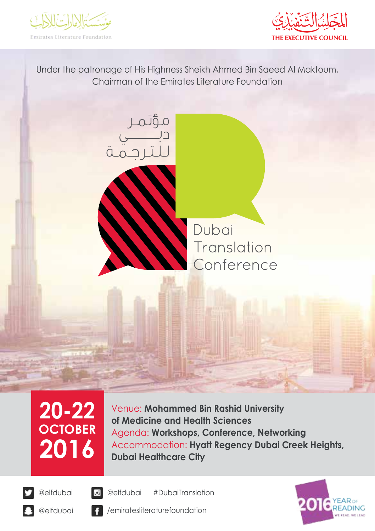



Under the patronage of His Highness Sheikh Ahmed Bin Saeed Al Maktoum, Chairman of the Emirates Literature Foundation



Dubai Translation Conference

# **20-22 OCTOBER 2016**

Venue: **Mohammed Bin Rashid University of Medicine and Health Sciences** Agenda: **Workshops, Conference, Networking** Accommodation: **Hyatt Regency Dubai Creek Heights, Dubai Healthcare City**





#DubaiTranslation @elfdubai @elfdubai

/emiratesliteraturefoundation





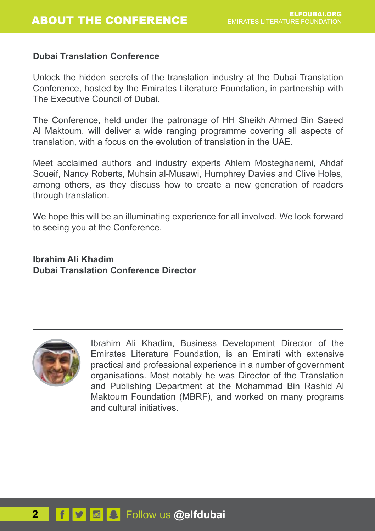#### **Dubai Translation Conference**

Unlock the hidden secrets of the translation industry at the Dubai Translation Conference, hosted by the Emirates Literature Foundation, in partnership with The Executive Council of Dubai.

The Conference, held under the patronage of HH Sheikh Ahmed Bin Saeed Al Maktoum, will deliver a wide ranging programme covering all aspects of translation, with a focus on the evolution of translation in the UAE.

Meet acclaimed authors and industry experts Ahlem Mosteghanemi, Ahdaf Soueif, Nancy Roberts, Muhsin al-Musawi, Humphrey Davies and Clive Holes, among others, as they discuss how to create a new generation of readers through translation.

We hope this will be an illuminating experience for all involved. We look forward to seeing you at the Conference.

**Ibrahim Ali Khadim Dubai Translation Conference Director**



Ibrahim Ali Khadim, Business Development Director of the Emirates Literature Foundation, is an Emirati with extensive practical and professional experience in a number of government organisations. Most notably he was Director of the Translation and Publishing Department at the Mohammad Bin Rashid Al Maktoum Foundation (MBRF), and worked on many programs and cultural initiatives.

## **2 f v a E** Follow us @elfdubai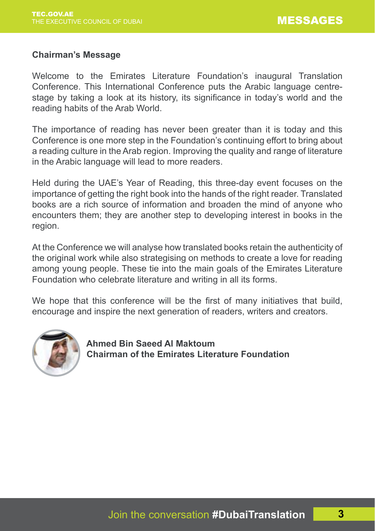#### **Chairman's Message**

Welcome to the Emirates Literature Foundation's inaugural Translation Conference. This International Conference puts the Arabic language centrestage by taking a look at its history, its significance in today's world and the reading habits of the Arab World.

The importance of reading has never been greater than it is today and this Conference is one more step in the Foundation's continuing effort to bring about a reading culture in the Arab region. Improving the quality and range of literature in the Arabic language will lead to more readers.

Held during the UAE's Year of Reading, this three-day event focuses on the importance of getting the right book into the hands of the right reader. Translated books are a rich source of information and broaden the mind of anyone who encounters them; they are another step to developing interest in books in the region.

At the Conference we will analyse how translated books retain the authenticity of the original work while also strategising on methods to create a love for reading among young people. These tie into the main goals of the Emirates Literature Foundation who celebrate literature and writing in all its forms.

We hope that this conference will be the first of many initiatives that build. encourage and inspire the next generation of readers, writers and creators.



 **Ahmed Bin Saeed Al Maktoum Chairman of the Emirates Literature Foundation**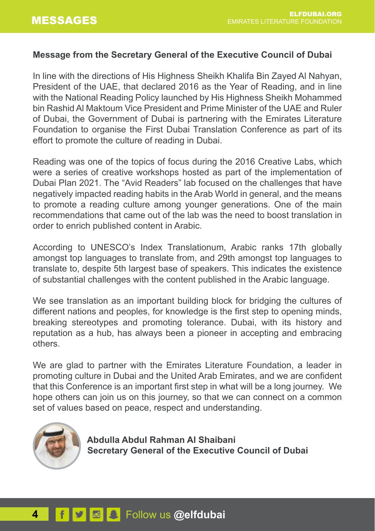#### **Message from the Secretary General of the Executive Council of Dubai**

In line with the directions of His Highness Sheikh Khalifa Bin Zayed Al Nahyan, President of the UAE, that declared 2016 as the Year of Reading, and in line with the National Reading Policy launched by His Highness Sheikh Mohammed bin Rashid Al Maktoum Vice President and Prime Minister of the UAE and Ruler of Dubai, the Government of Dubai is partnering with the Emirates Literature Foundation to organise the First Dubai Translation Conference as part of its effort to promote the culture of reading in Dubai.

Reading was one of the topics of focus during the 2016 Creative Labs, which were a series of creative workshops hosted as part of the implementation of Dubai Plan 2021. The "Avid Readers" lab focused on the challenges that have negatively impacted reading habits in the Arab World in general, and the means to promote a reading culture among younger generations. One of the main recommendations that came out of the lab was the need to boost translation in order to enrich published content in Arabic.

According to UNESCO's Index Translationum, Arabic ranks 17th globally amongst top languages to translate from, and 29th amongst top languages to translate to, despite 5th largest base of speakers. This indicates the existence of substantial challenges with the content published in the Arabic language.

We see translation as an important building block for bridging the cultures of different nations and peoples, for knowledge is the first step to opening minds, breaking stereotypes and promoting tolerance. Dubai, with its history and reputation as a hub, has always been a pioneer in accepting and embracing others.

We are glad to partner with the Emirates Literature Foundation, a leader in promoting culture in Dubai and the United Arab Emirates, and we are confident that this Conference is an important first step in what will be a long journey. We hope others can join us on this journey, so that we can connect on a common set of values based on peace, respect and understanding.



 **Abdulla Abdul Rahman Al Shaibani Secretary General of the Executive Council of Dubai**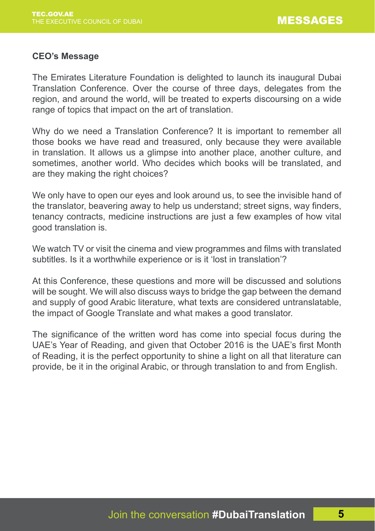#### **CEO's Message**

The Emirates Literature Foundation is delighted to launch its inaugural Dubai Translation Conference. Over the course of three days, delegates from the region, and around the world, will be treated to experts discoursing on a wide range of topics that impact on the art of translation.

Why do we need a Translation Conference? It is important to remember all those books we have read and treasured, only because they were available in translation. It allows us a glimpse into another place, another culture, and sometimes, another world. Who decides which books will be translated, and are they making the right choices?

We only have to open our eyes and look around us, to see the invisible hand of the translator, beavering away to help us understand; street signs, way finders, tenancy contracts, medicine instructions are just a few examples of how vital good translation is.

We watch TV or visit the cinema and view programmes and films with translated subtitles. Is it a worthwhile experience or is it 'lost in translation'?

At this Conference, these questions and more will be discussed and solutions will be sought. We will also discuss ways to bridge the gap between the demand and supply of good Arabic literature, what texts are considered untranslatable, the impact of Google Translate and what makes a good translator.

The significance of the written word has come into special focus during the UAE's Year of Reading, and given that October 2016 is the UAE's first Month of Reading, it is the perfect opportunity to shine a light on all that literature can provide, be it in the original Arabic, or through translation to and from English.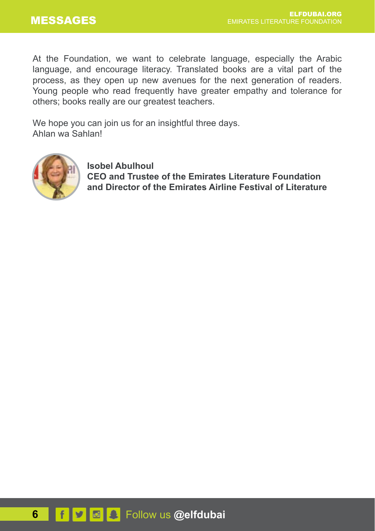At the Foundation, we want to celebrate language, especially the Arabic language, and encourage literacy. Translated books are a vital part of the process, as they open up new avenues for the next generation of readers. Young people who read frequently have greater empathy and tolerance for others; books really are our greatest teachers.

We hope you can join us for an insightful three days. Ahlan wa Sahlan!



 **Isobel Abulhoul CEO and Trustee of the Emirates Literature Foundation and Director of the Emirates Airline Festival of Literature**

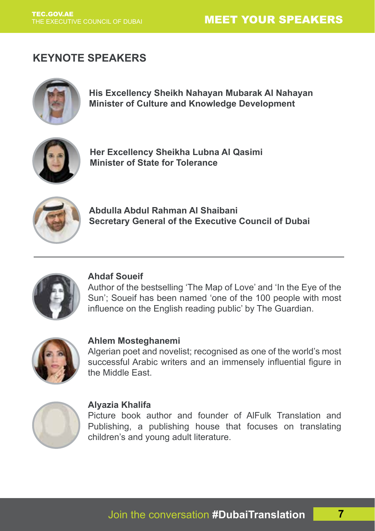## MEET YOUR SPEAKERS

## **KEYNOTE SPEAKERS**



**His Excellency Sheikh Nahayan Mubarak Al Nahayan Minister of Culture and Knowledge Development**



**Her Excellency Sheikha Lubna Al Qasimi Minister of State for Tolerance**



**Abdulla Abdul Rahman Al Shaibani Secretary General of the Executive Council of Dubai**



#### **Ahdaf Soueif**

Author of the bestselling 'The Map of Love' and 'In the Eye of the Sun'; Soueif has been named 'one of the 100 people with most influence on the English reading public' by The Guardian.



#### **Ahlem Mosteghanemi**

Algerian poet and novelist; recognised as one of the world's most successful Arabic writers and an immensely influential figure in the Middle East.



#### **Alyazia Khalifa**

Picture book author and founder of AlFulk Translation and Publishing, a publishing house that focuses on translating children's and young adult literature.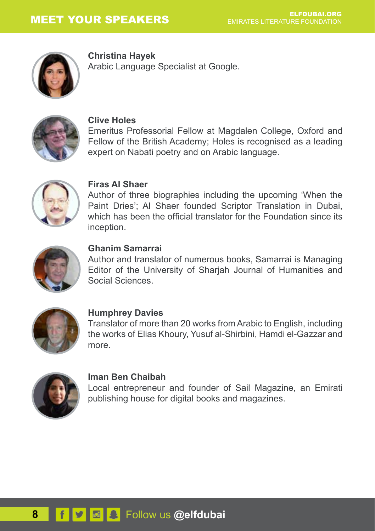

**Christina Hayek**

Arabic Language Specialist at Google.



#### **Clive Holes**

Emeritus Professorial Fellow at Magdalen College, Oxford and Fellow of the British Academy; Holes is recognised as a leading expert on Nabati poetry and on Arabic language.



#### **Firas Al Shaer**

Author of three biographies including the upcoming 'When the Paint Dries'; Al Shaer founded Scriptor Translation in Dubai, which has been the official translator for the Foundation since its inception.



#### **Ghanim Samarrai**

Author and translator of numerous books, Samarrai is Managing Editor of the University of Sharjah Journal of Humanities and Social Sciences.



#### **Humphrey Davies**

Translator of more than 20 works from Arabic to English, including the works of Elias Khoury, Yusuf al-Shirbini, Hamdi el-Gazzar and more.



#### **Iman Ben Chaibah**

Local entrepreneur and founder of Sail Magazine, an Emirati publishing house for digital books and magazines.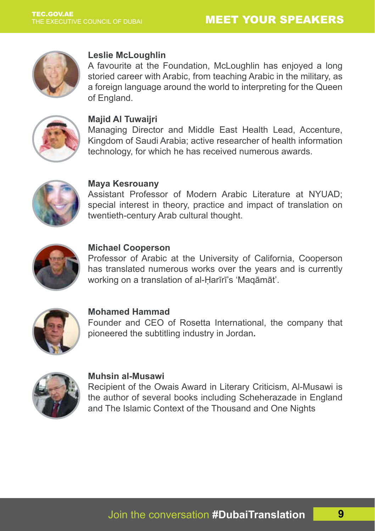## MEET YOUR SPEAKERS



#### **Leslie McLoughlin**

A favourite at the Foundation, McLoughlin has enjoyed a long storied career with Arabic, from teaching Arabic in the military, as a foreign language around the world to interpreting for the Queen of England.



#### **Majid Al Tuwaijri**

Managing Director and Middle East Health Lead, Accenture, Kingdom of Saudi Arabia; active researcher of health information technology, for which he has received numerous awards.



#### **Maya Kesrouany**

Assistant Professor of Modern Arabic Literature at NYUAD; special interest in theory, practice and impact of translation on twentieth-century Arab cultural thought.



#### **Michael Cooperson**

Professor of Arabic at the University of California, Cooperson has translated numerous works over the years and is currently working on a translation of al-Ḥarīrī's 'Maqāmāt'.



#### **Mohamed Hammad**

Founder and CEO of Rosetta International, the company that pioneered the subtitling industry in Jordan**.**



#### **Muhsin al-Musawi**

Recipient of the Owais Award in Literary Criticism, Al-Musawi is the author of several books including Scheherazade in England and The Islamic Context of the Thousand and One Nights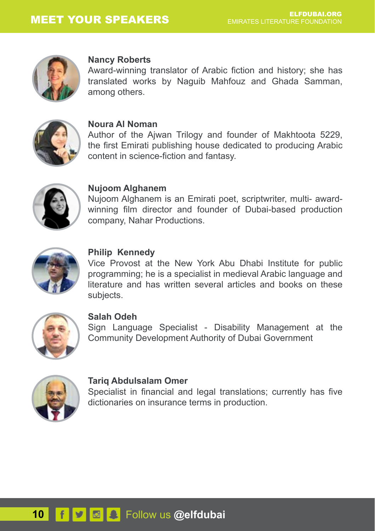

#### **Nancy Roberts**

Award-winning translator of Arabic fiction and history; she has translated works by Naguib Mahfouz and Ghada Samman, among others.



#### **Noura Al Noman**

Author of the Ajwan Trilogy and founder of Makhtoota 5229, the first Emirati publishing house dedicated to producing Arabic content in science-fiction and fantasy.



#### **Nujoom Alghanem**

Nujoom Alghanem is an Emirati poet, scriptwriter, multi- awardwinning film director and founder of Dubai-based production company, Nahar Productions.



#### **Philip Kennedy**

Vice Provost at the New York Abu Dhabi Institute for public programming; he is a specialist in medieval Arabic language and literature and has written several articles and books on these subjects.



#### **Salah Odeh**

Sign Language Specialist - Disability Management at the Community Development Authority of Dubai Government



#### **Tariq Abdulsalam Omer**

Specialist in financial and legal translations; currently has five dictionaries on insurance terms in production.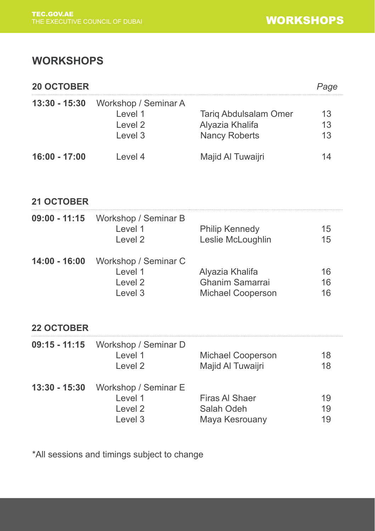## **WORKSHOPS**

| <b>20 OCTOBER</b> |                                                                  |                                                           | Page           |
|-------------------|------------------------------------------------------------------|-----------------------------------------------------------|----------------|
| 13:30 - 15:30     | Workshop / Seminar A<br>Level 1<br>Level 2<br>Level 3            | Tariq Abdulsalam Omer<br>Alyazia Khalifa<br>Nancy Roberts | 13<br>13<br>13 |
| $16:00 - 17:00$   | Level 4                                                          | Majid Al Tuwaijri                                         | 14             |
| 21 OCTOBER        |                                                                  |                                                           |                |
| $09:00 - 11:15$   | Workshop / Seminar B<br>Level 1<br>Level <sub>2</sub>            | Philip Kennedy<br>Leslie McLoughlin                       | 15<br>15       |
| 14:00 - 16:00     | Workshop / Seminar C<br>Level 1<br>Level <sub>2</sub><br>Level 3 | Alyazia Khalifa<br>Ghanim Samarrai<br>Michael Cooperson   | 16<br>16<br>16 |
| <b>22 OCTOBER</b> |                                                                  |                                                           |                |
| $09:15 - 11:15$   | Workshop / Seminar D<br>Level 1<br>Level <sub>2</sub>            | Michael Cooperson<br>Majid Al Tuwaijri                    | 18<br>18       |
| 13:30 - 15:30     | Workshop / Seminar E<br>Level 1<br>Level 2<br>Level 3            | Firas AI Shaer<br>Salah Odeh<br>Maya Kesrouany            | 19<br>19<br>19 |

\*All sessions and timings subject to change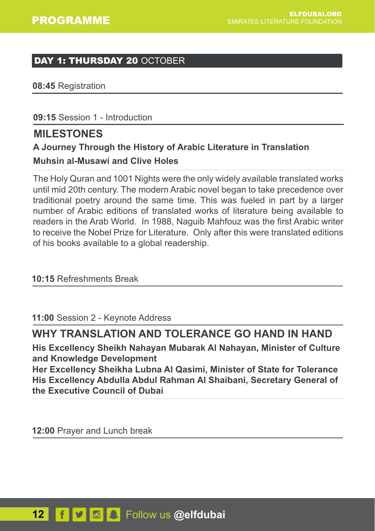## DAY 1: THURSDAY 20 OCTOBER

**08:45** Registration

**09:15** Session 1 - Introduction

## **MILESTONES**

## **A Journey Through the History of Arabic Literature in Translation Muhsin al-Musawi and Clive Holes**

The Holy Quran and 1001 Nights were the only widely available translated works until mid 20th century. The modern Arabic novel began to take precedence over traditional poetry around the same time. This was fueled in part by a larger number of Arabic editions of translated works of literature being available to readers in the Arab World. In 1988, Naguib Mahfouz was the first Arabic writer to receive the Nobel Prize for Literature. Only after this were translated editions of his books available to a global readership.

## **10:15** Refreshments Break

**11:00** Session 2 - Keynote Address

## **WHY TRANSLATION AND TOLERANCE GO HAND IN HAND**

**His Excellency Sheikh Nahayan Mubarak Al Nahayan, Minister of Culture and Knowledge Development**

**Her Excellency Sheikha Lubna Al Qasimi, Minister of State for Tolerance His Excellency Abdulla Abdul Rahman Al Shaibani, Secretary General of the Executive Council of Dubai**

**12:00** Prayer and Lunch break

## **12** Follow us **@elfdubai**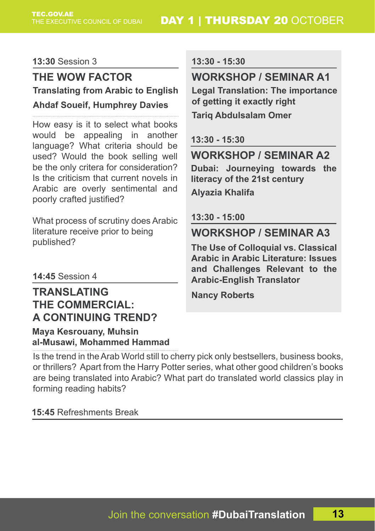#### **13:30** Session 3

## **THE WOW FACTOR Translating from Arabic to English Legal Translation: The importance Ahdaf Soueif, Humphrey Davies**

How easy is it to select what books would be appealing in another language? What criteria should be used? Would the book selling well be the only critera for consideration? Is the criticism that current novels in Arabic are overly sentimental and poorly crafted justified?

What process of scrutiny does Arabic literature receive prior to being published?

## **14:45** Session 4

## **TRANSLATING THE COMMERCIAL: A CONTINUING TREND?**

**Maya Kesrouany, Muhsin al-Musawi, Mohammed Hammad** **13:30 - 15:30**

## **WORKSHOP / SEMINAR A1**

**of getting it exactly right**

**Tariq Abdulsalam Omer** 

**13:30 - 15:30**

## **WORKSHOP / SEMINAR A2**

**Dubai: Journeying towards the literacy of the 21st century Alyazia Khalifa** 

#### **13:30 - 15:00**

## **WORKSHOP / SEMINAR A3**

**The Use of Colloquial vs. Classical Arabic in Arabic Literature: Issues and Challenges Relevant to the Arabic-English Translator**

**Nancy Roberts**

Is the trend in the Arab World still to cherry pick only bestsellers, business books, or thrillers? Apart from the Harry Potter series, what other good children's books are being translated into Arabic? What part do translated world classics play in forming reading habits?

**15:45** Refreshments Break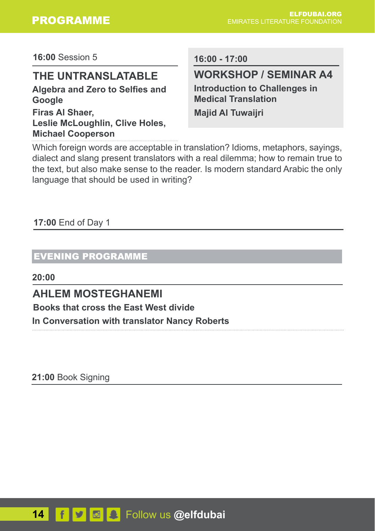**16:00** Session 5

## **THE UNTRANSLATABLE**

**Algebra and Zero to Selfies and Google Firas Al Shaer, Leslie McLoughlin, Clive Holes, Michael Cooperson**

**16:00 - 17:00**

## **WORKSHOP / SEMINAR A4**

**Introduction to Challenges in Medical Translation Majid Al Tuwaijri** 

Which foreign words are acceptable in translation? Idioms, metaphors, sayings, dialect and slang present translators with a real dilemma; how to remain true to the text, but also make sense to the reader. Is modern standard Arabic the only language that should be used in writing?

#### **17:00** End of Day 1

## EVENING PROGRAMME

**20:00**

## **AHLEM MOSTEGHANEMI**

**Books that cross the East West divide**

**In Conversation with translator Nancy Roberts**

**21:00** Book Signing

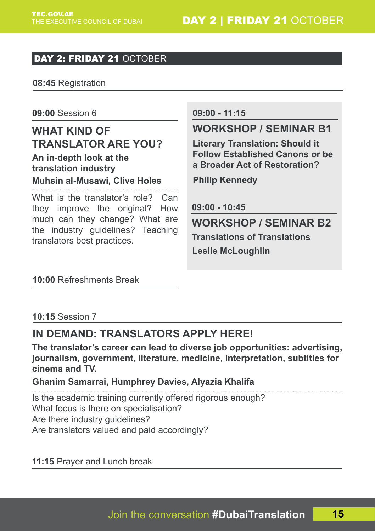## DAY 2: FRIDAY 21 OCTOBER

**08:45** Registration

**09:00** Session 6

**WHAT KIND OF TRANSLATOR ARE YOU? An in-depth look at the translation industry**

**Muhsin al-Musawi, Clive Holes**

What is the translator's role? Can they improve the original? How much can they change? What are the industry guidelines? Teaching translators best practices.

#### **09:00 - 11:15**

## **WORKSHOP / SEMINAR B1**

**Literary Translation: Should it Follow Established Canons or be a Broader Act of Restoration?** 

**Philip Kennedy**

**09:00 - 10:45**

**Translations of Translations WORKSHOP / SEMINAR B2 Leslie McLoughlin** 

#### **10:00** Refreshments Break

#### **10:15** Session 7

## **IN DEMAND: TRANSLATORS APPLY HERE!**

**The translator's career can lead to diverse job opportunities: advertising, journalism, government, literature, medicine, interpretation, subtitles for cinema and TV.**

#### **Ghanim Samarrai, Humphrey Davies, Alyazia Khalifa**

Is the academic training currently offered rigorous enough? What focus is there on specialisation? Are there industry guidelines? Are translators valued and paid accordingly?

**11:15** Prayer and Lunch break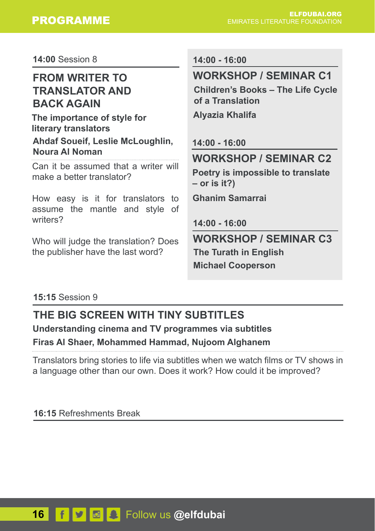**14:00** Session 8

## **FROM WRITER TO TRANSLATOR AND BACK AGAIN**

**The importance of style for literary translators Ahdaf Soueif, Leslie McLoughlin, Noura Al Noman**

Can it be assumed that a writer will make a better translator?

How easy is it for translators to assume the mantle and style of writers?

Who will judge the translation? Does the publisher have the last word?

**14:00 - 16:00**

## **WORKSHOP / SEMINAR C1**

**Children's Books – The Life Cycle of a Translation**

**Alyazia Khalifa** 

**14:00 - 16:00**

**WORKSHOP / SEMINAR C2**

**Poetry is impossible to translate – or is it?)** 

**Ghanim Samarrai** 

**14:00 - 16:00**

**The Turath in English WORKSHOP / SEMINAR C3 Michael Cooperson**

#### **15:15** Session 9

## **THE BIG SCREEN WITH TINY SUBTITLES Understanding cinema and TV programmes via subtitles Firas Al Shaer, Mohammed Hammad, Nujoom Alghanem**

Translators bring stories to life via subtitles when we watch films or TV shows in a language other than our own. Does it work? How could it be improved?

**16:15** Refreshments Break

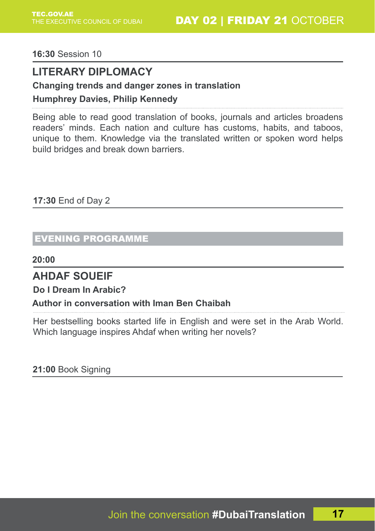**16:30** Session 10

## **LITERARY DIPLOMACY**

#### **Changing trends and danger zones in translation**

#### **Humphrey Davies, Philip Kennedy**

Being able to read good translation of books, journals and articles broadens readers' minds. Each nation and culture has customs, habits, and taboos, unique to them. Knowledge via the translated written or spoken word helps build bridges and break down barriers.

**17:30** End of Day 2

### EVENING PROGRAMME

**20:00**

## **AHDAF SOUEIF**

**Do I Dream In Arabic?**

## **Author in conversation with Iman Ben Chaibah**

Her bestselling books started life in English and were set in the Arab World. Which language inspires Ahdaf when writing her novels?

**21:00** Book Signing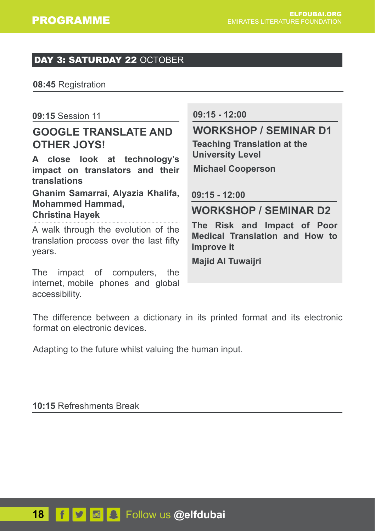#### DAY 3: SATURDAY 22 OCTOBER

**08:45** Registration

#### **09:15** Session 11

## **GOOGLE TRANSLATE AND OTHER JOYS!**

**A close look at technology's impact on translators and their translations**

**Ghanim Samarrai, Alyazia Khalifa, Mohammed Hammad, Christina Hayek** 

A walk through the evolution of the translation process over the last fifty years.

The impact of computers, the internet, mobile phones and global accessibility.

#### **09:15 - 12:00**

## **WORKSHOP / SEMINAR D1**

**Teaching Translation at the University Level** 

**Michael Cooperson**

**09:15 - 12:00**

## **WORKSHOP / SEMINAR D2**

**The Risk and Impact of Poor Medical Translation and How to Improve it**

**Majid Al Tuwaijri** 

The difference between a dictionary in its printed format and its electronic format on electronic devices.

Adapting to the future whilst valuing the human input.

**10:15** Refreshments Break

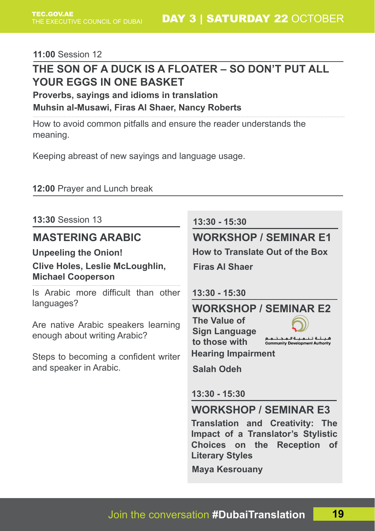#### **11:00** Session 12

## **THE SON OF A DUCK IS A FLOATER – SO DON'T PUT ALL YOUR EGGS IN ONE BASKET**

**Proverbs, sayings and idioms in translation**

**Muhsin al-Musawi, Firas Al Shaer, Nancy Roberts**

How to avoid common pitfalls and ensure the reader understands the meaning.

Keeping abreast of new sayings and language usage.

#### **12:00** Prayer and Lunch break

**13:30** Session 13

## **MASTERING ARABIC**

**Unpeeling the Onion!**

#### **Clive Holes, Leslie McLoughlin, Michael Cooperson**

Is Arabic more difficult than other languages?

Are native Arabic speakers learning enough about writing Arabic?

Steps to becoming a confident writer and speaker in Arabic.

#### **13:30 - 15:30**

## **WORKSHOP / SEMINAR E1**

**How to Translate Out of the Box**

**Firas Al Shaer** 

**13:30 - 15:30**

**The Value of Sign Language to those with** 

### **WORKSHOP / SEMINAR E2**

هيئة تنمية لمجت Community Development Authority

**Hearing Impairment**

**Salah Odeh**

**13:30 - 15:30**

## **WORKSHOP / SEMINAR E3**

**Translation and Creativity: The Impact of a Translator's Stylistic Choices on the Reception of Literary Styles** 

**Maya Kesrouany**